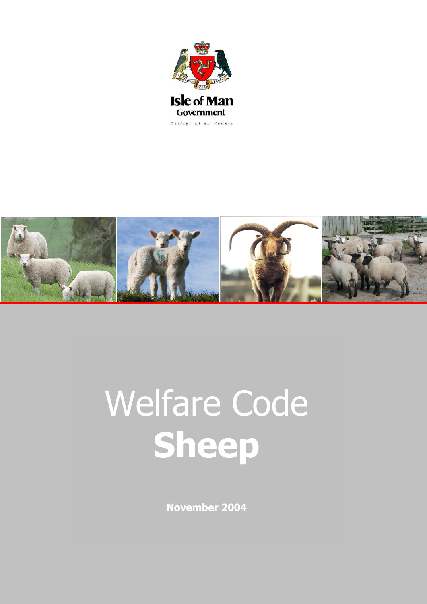



# Welfare Code **Sheep**

**November 2004**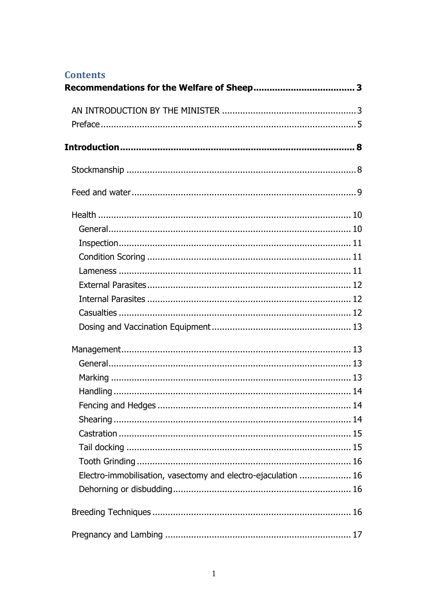# **Contents**

| Electro-immobilisation, vasectomy and electro-ejaculation  16 |  |
|---------------------------------------------------------------|--|
|                                                               |  |
|                                                               |  |
|                                                               |  |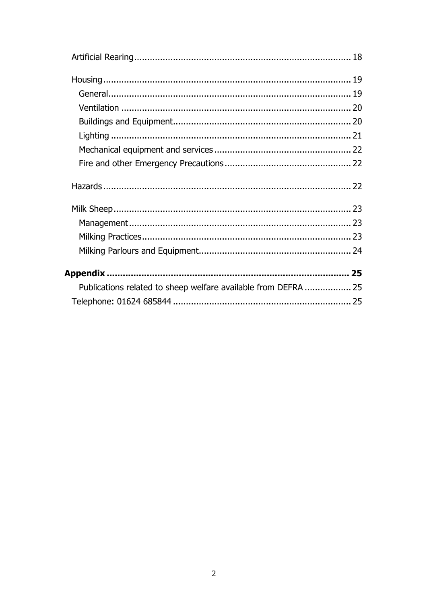| Publications related to sheep welfare available from DEFRA  25 |  |
|----------------------------------------------------------------|--|
|                                                                |  |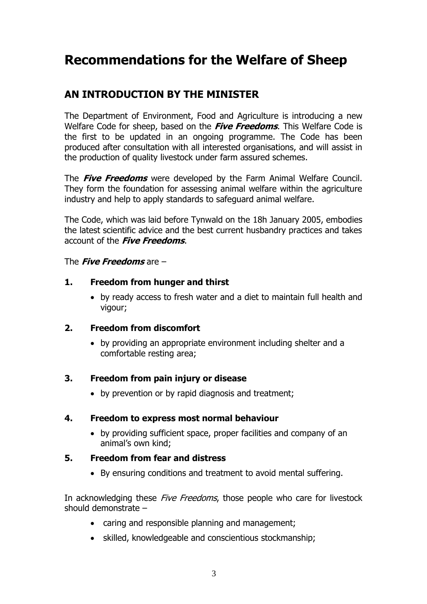# <span id="page-3-0"></span>**Recommendations for the Welfare of Sheep**

# <span id="page-3-1"></span>**AN INTRODUCTION BY THE MINISTER**

The Department of Environment, Food and Agriculture is introducing a new Welfare Code for sheep, based on the **Five Freedoms**. This Welfare Code is the first to be updated in an ongoing programme. The Code has been produced after consultation with all interested organisations, and will assist in the production of quality livestock under farm assured schemes.

The **Five Freedoms** were developed by the Farm Animal Welfare Council. They form the foundation for assessing animal welfare within the agriculture industry and help to apply standards to safeguard animal welfare.

The Code, which was laid before Tynwald on the 18h January 2005, embodies the latest scientific advice and the best current husbandry practices and takes account of the **Five Freedoms**.

#### The **Five Freedoms** are –

#### **1. Freedom from hunger and thirst**

 by ready access to fresh water and a diet to maintain full health and vigour;

#### **2. Freedom from discomfort**

 by providing an appropriate environment including shelter and a comfortable resting area;

#### **3. Freedom from pain injury or disease**

• by prevention or by rapid diagnosis and treatment;

#### **4. Freedom to express most normal behaviour**

 by providing sufficient space, proper facilities and company of an animal's own kind;

#### **5. Freedom from fear and distress**

By ensuring conditions and treatment to avoid mental suffering.

In acknowledging these Five Freedoms, those people who care for livestock should demonstrate –

- caring and responsible planning and management;
- skilled, knowledgeable and conscientious stockmanship;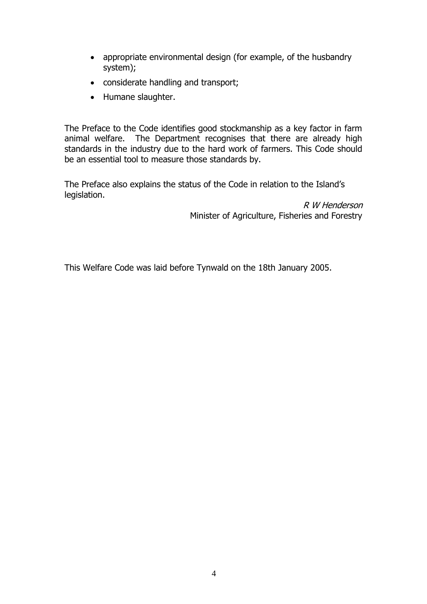- appropriate environmental design (for example, of the husbandry system);
- considerate handling and transport;
- Humane slaughter.

The Preface to the Code identifies good stockmanship as a key factor in farm animal welfare. The Department recognises that there are already high standards in the industry due to the hard work of farmers. This Code should be an essential tool to measure those standards by.

The Preface also explains the status of the Code in relation to the Island's legislation.

> R W Henderson Minister of Agriculture, Fisheries and Forestry

This Welfare Code was laid before Tynwald on the 18th January 2005.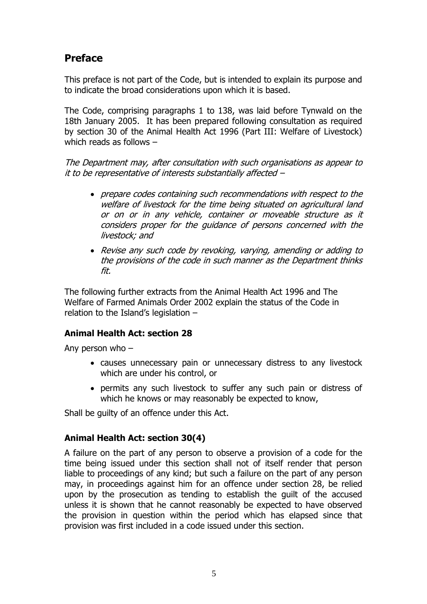# <span id="page-5-0"></span>**Preface**

This preface is not part of the Code, but is intended to explain its purpose and to indicate the broad considerations upon which it is based.

The Code, comprising paragraphs 1 to 138, was laid before Tynwald on the 18th January 2005. It has been prepared following consultation as required by section 30 of the Animal Health Act 1996 (Part III: Welfare of Livestock) which reads as follows –

The Department may, after consultation with such organisations as appear to it to be representative of interests substantially affected –

- prepare codes containing such recommendations with respect to the welfare of livestock for the time being situated on agricultural land or on or in any vehicle, container or moveable structure as it considers proper for the guidance of persons concerned with the livestock; and
- Revise any such code by revoking, varying, amending or adding to the provisions of the code in such manner as the Department thinks fit.

The following further extracts from the Animal Health Act 1996 and The Welfare of Farmed Animals Order 2002 explain the status of the Code in relation to the Island's legislation –

#### **Animal Health Act: section 28**

Any person who –

- causes unnecessary pain or unnecessary distress to any livestock which are under his control, or
- permits any such livestock to suffer any such pain or distress of which he knows or may reasonably be expected to know,

Shall be guilty of an offence under this Act.

#### **Animal Health Act: section 30(4)**

A failure on the part of any person to observe a provision of a code for the time being issued under this section shall not of itself render that person liable to proceedings of any kind; but such a failure on the part of any person may, in proceedings against him for an offence under section 28, be relied upon by the prosecution as tending to establish the guilt of the accused unless it is shown that he cannot reasonably be expected to have observed the provision in question within the period which has elapsed since that provision was first included in a code issued under this section.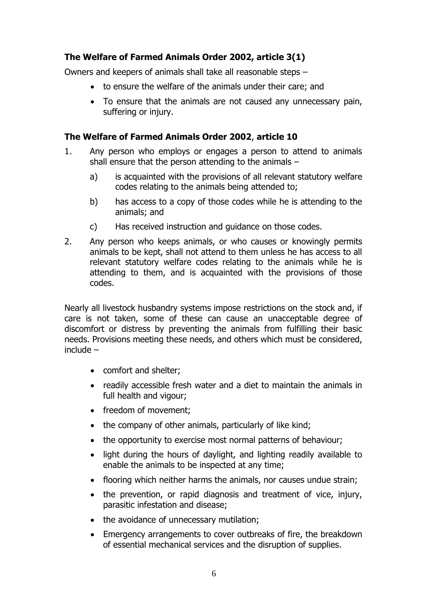### **The Welfare of Farmed Animals Order 2002, article 3(1)**

Owners and keepers of animals shall take all reasonable steps –

- to ensure the welfare of the animals under their care; and
- To ensure that the animals are not caused any unnecessary pain, suffering or injury.

#### **The Welfare of Farmed Animals Order 2002**, **article 10**

- 1. Any person who employs or engages a person to attend to animals shall ensure that the person attending to the animals –
	- a) is acquainted with the provisions of all relevant statutory welfare codes relating to the animals being attended to;
	- b) has access to a copy of those codes while he is attending to the animals; and
	- c) Has received instruction and guidance on those codes.
- 2. Any person who keeps animals, or who causes or knowingly permits animals to be kept, shall not attend to them unless he has access to all relevant statutory welfare codes relating to the animals while he is attending to them, and is acquainted with the provisions of those codes.

Nearly all livestock husbandry systems impose restrictions on the stock and, if care is not taken, some of these can cause an unacceptable degree of discomfort or distress by preventing the animals from fulfilling their basic needs. Provisions meeting these needs, and others which must be considered, include –

- comfort and shelter;
- readily accessible fresh water and a diet to maintain the animals in full health and vigour;
- freedom of movement;
- the company of other animals, particularly of like kind;
- the opportunity to exercise most normal patterns of behaviour;
- light during the hours of daylight, and lighting readily available to enable the animals to be inspected at any time;
- flooring which neither harms the animals, nor causes undue strain;
- the prevention, or rapid diagnosis and treatment of vice, injury, parasitic infestation and disease;
- the avoidance of unnecessary mutilation;
- Emergency arrangements to cover outbreaks of fire, the breakdown of essential mechanical services and the disruption of supplies.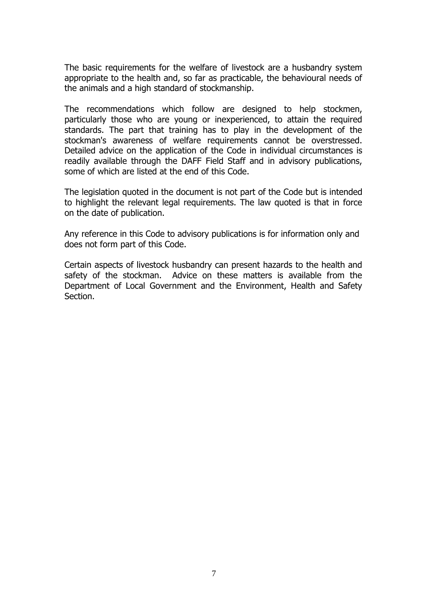The basic requirements for the welfare of livestock are a husbandry system appropriate to the health and, so far as practicable, the behavioural needs of the animals and a high standard of stockmanship.

The recommendations which follow are designed to help stockmen, particularly those who are young or inexperienced, to attain the required standards. The part that training has to play in the development of the stockman's awareness of welfare requirements cannot be overstressed. Detailed advice on the application of the Code in individual circumstances is readily available through the DAFF Field Staff and in advisory publications, some of which are listed at the end of this Code.

The legislation quoted in the document is not part of the Code but is intended to highlight the relevant legal requirements. The law quoted is that in force on the date of publication.

Any reference in this Code to advisory publications is for information only and does not form part of this Code.

Certain aspects of livestock husbandry can present hazards to the health and safety of the stockman. Advice on these matters is available from the Department of Local Government and the Environment, Health and Safety Section.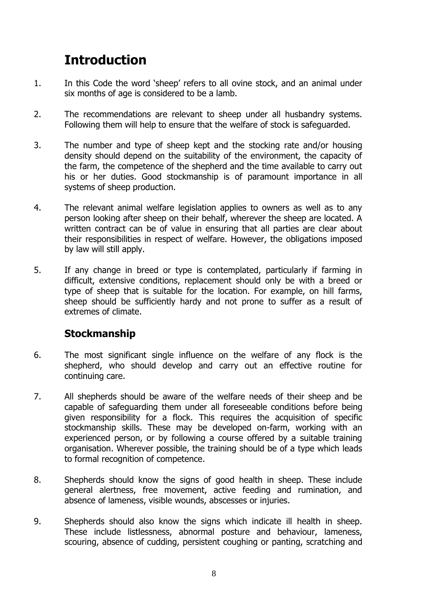# <span id="page-8-0"></span>**Introduction**

- 1. In this Code the word 'sheep' refers to all ovine stock, and an animal under six months of age is considered to be a lamb.
- 2. The recommendations are relevant to sheep under all husbandry systems. Following them will help to ensure that the welfare of stock is safeguarded.
- 3. The number and type of sheep kept and the stocking rate and/or housing density should depend on the suitability of the environment, the capacity of the farm, the competence of the shepherd and the time available to carry out his or her duties. Good stockmanship is of paramount importance in all systems of sheep production.
- 4. The relevant animal welfare legislation applies to owners as well as to any person looking after sheep on their behalf, wherever the sheep are located. A written contract can be of value in ensuring that all parties are clear about their responsibilities in respect of welfare. However, the obligations imposed by law will still apply.
- 5. If any change in breed or type is contemplated, particularly if farming in difficult, extensive conditions, replacement should only be with a breed or type of sheep that is suitable for the location. For example, on hill farms, sheep should be sufficiently hardy and not prone to suffer as a result of extremes of climate.

# <span id="page-8-1"></span>**Stockmanship**

- 6. The most significant single influence on the welfare of any flock is the shepherd, who should develop and carry out an effective routine for continuing care.
- 7. All shepherds should be aware of the welfare needs of their sheep and be capable of safeguarding them under all foreseeable conditions before being given responsibility for a flock. This requires the acquisition of specific stockmanship skills. These may be developed on-farm, working with an experienced person, or by following a course offered by a suitable training organisation. Wherever possible, the training should be of a type which leads to formal recognition of competence.
- 8. Shepherds should know the signs of good health in sheep. These include general alertness, free movement, active feeding and rumination, and absence of lameness, visible wounds, abscesses or injuries.
- 9. Shepherds should also know the signs which indicate ill health in sheep. These include listlessness, abnormal posture and behaviour, lameness, scouring, absence of cudding, persistent coughing or panting, scratching and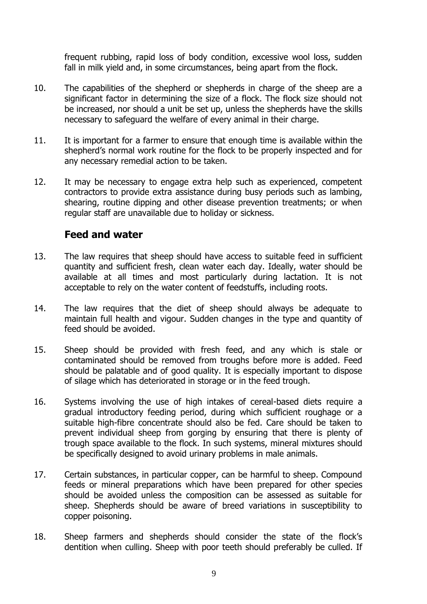frequent rubbing, rapid loss of body condition, excessive wool loss, sudden fall in milk yield and, in some circumstances, being apart from the flock.

- 10. The capabilities of the shepherd or shepherds in charge of the sheep are a significant factor in determining the size of a flock. The flock size should not be increased, nor should a unit be set up, unless the shepherds have the skills necessary to safeguard the welfare of every animal in their charge.
- 11. It is important for a farmer to ensure that enough time is available within the shepherd's normal work routine for the flock to be properly inspected and for any necessary remedial action to be taken.
- 12. It may be necessary to engage extra help such as experienced, competent contractors to provide extra assistance during busy periods such as lambing, shearing, routine dipping and other disease prevention treatments; or when regular staff are unavailable due to holiday or sickness.

## <span id="page-9-0"></span>**Feed and water**

- 13. The law requires that sheep should have access to suitable feed in sufficient quantity and sufficient fresh, clean water each day. Ideally, water should be available at all times and most particularly during lactation. It is not acceptable to rely on the water content of feedstuffs, including roots.
- 14. The law requires that the diet of sheep should always be adequate to maintain full health and vigour. Sudden changes in the type and quantity of feed should be avoided.
- 15. Sheep should be provided with fresh feed, and any which is stale or contaminated should be removed from troughs before more is added. Feed should be palatable and of good quality. It is especially important to dispose of silage which has deteriorated in storage or in the feed trough.
- 16. Systems involving the use of high intakes of cereal-based diets require a gradual introductory feeding period, during which sufficient roughage or a suitable high-fibre concentrate should also be fed. Care should be taken to prevent individual sheep from gorging by ensuring that there is plenty of trough space available to the flock. In such systems, mineral mixtures should be specifically designed to avoid urinary problems in male animals.
- 17. Certain substances, in particular copper, can be harmful to sheep. Compound feeds or mineral preparations which have been prepared for other species should be avoided unless the composition can be assessed as suitable for sheep. Shepherds should be aware of breed variations in susceptibility to copper poisoning.
- 18. Sheep farmers and shepherds should consider the state of the flock's dentition when culling. Sheep with poor teeth should preferably be culled. If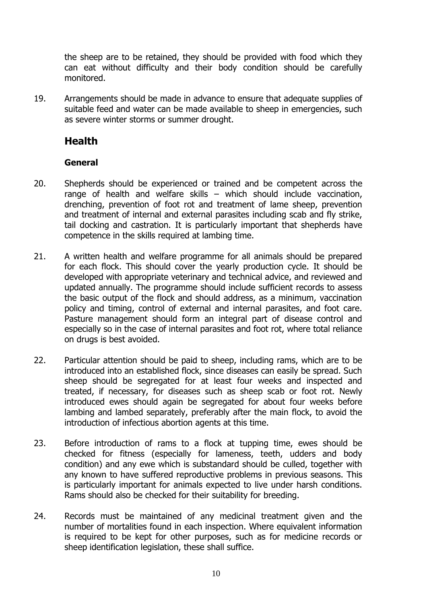the sheep are to be retained, they should be provided with food which they can eat without difficulty and their body condition should be carefully monitored.

19. Arrangements should be made in advance to ensure that adequate supplies of suitable feed and water can be made available to sheep in emergencies, such as severe winter storms or summer drought.

# <span id="page-10-0"></span>**Health**

## <span id="page-10-1"></span>**General**

- 20. Shepherds should be experienced or trained and be competent across the range of health and welfare skills – which should include vaccination, drenching, prevention of foot rot and treatment of lame sheep, prevention and treatment of internal and external parasites including scab and fly strike, tail docking and castration. It is particularly important that shepherds have competence in the skills required at lambing time.
- 21. A written health and welfare programme for all animals should be prepared for each flock. This should cover the yearly production cycle. It should be developed with appropriate veterinary and technical advice, and reviewed and updated annually. The programme should include sufficient records to assess the basic output of the flock and should address, as a minimum, vaccination policy and timing, control of external and internal parasites, and foot care. Pasture management should form an integral part of disease control and especially so in the case of internal parasites and foot rot, where total reliance on drugs is best avoided.
- 22. Particular attention should be paid to sheep, including rams, which are to be introduced into an established flock, since diseases can easily be spread. Such sheep should be segregated for at least four weeks and inspected and treated, if necessary, for diseases such as sheep scab or foot rot. Newly introduced ewes should again be segregated for about four weeks before lambing and lambed separately, preferably after the main flock, to avoid the introduction of infectious abortion agents at this time.
- 23. Before introduction of rams to a flock at tupping time, ewes should be checked for fitness (especially for lameness, teeth, udders and body condition) and any ewe which is substandard should be culled, together with any known to have suffered reproductive problems in previous seasons. This is particularly important for animals expected to live under harsh conditions. Rams should also be checked for their suitability for breeding.
- 24. Records must be maintained of any medicinal treatment given and the number of mortalities found in each inspection. Where equivalent information is required to be kept for other purposes, such as for medicine records or sheep identification legislation, these shall suffice.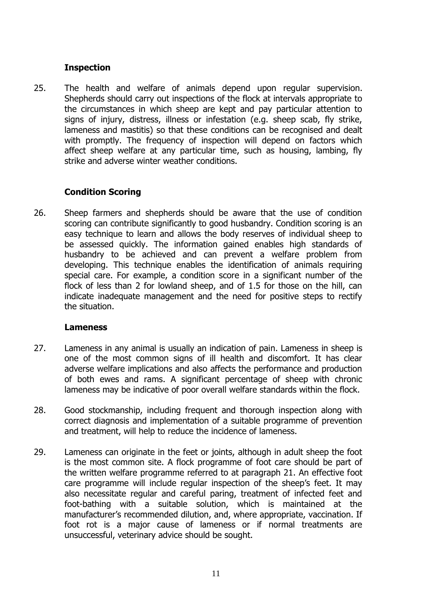#### <span id="page-11-0"></span>**Inspection**

25. The health and welfare of animals depend upon regular supervision. Shepherds should carry out inspections of the flock at intervals appropriate to the circumstances in which sheep are kept and pay particular attention to signs of injury, distress, illness or infestation (e.g. sheep scab, fly strike, lameness and mastitis) so that these conditions can be recognised and dealt with promptly. The frequency of inspection will depend on factors which affect sheep welfare at any particular time, such as housing, lambing, fly strike and adverse winter weather conditions.

#### <span id="page-11-1"></span>**Condition Scoring**

26. Sheep farmers and shepherds should be aware that the use of condition scoring can contribute significantly to good husbandry. Condition scoring is an easy technique to learn and allows the body reserves of individual sheep to be assessed quickly. The information gained enables high standards of husbandry to be achieved and can prevent a welfare problem from developing. This technique enables the identification of animals requiring special care. For example, a condition score in a significant number of the flock of less than 2 for lowland sheep, and of 1.5 for those on the hill, can indicate inadequate management and the need for positive steps to rectify the situation.

#### <span id="page-11-2"></span>**Lameness**

- 27. Lameness in any animal is usually an indication of pain. Lameness in sheep is one of the most common signs of ill health and discomfort. It has clear adverse welfare implications and also affects the performance and production of both ewes and rams. A significant percentage of sheep with chronic lameness may be indicative of poor overall welfare standards within the flock.
- 28. Good stockmanship, including frequent and thorough inspection along with correct diagnosis and implementation of a suitable programme of prevention and treatment, will help to reduce the incidence of lameness.
- 29. Lameness can originate in the feet or joints, although in adult sheep the foot is the most common site. A flock programme of foot care should be part of the written welfare programme referred to at paragraph 21. An effective foot care programme will include regular inspection of the sheep's feet. It may also necessitate regular and careful paring, treatment of infected feet and foot-bathing with a suitable solution, which is maintained at the manufacturer's recommended dilution, and, where appropriate, vaccination. If foot rot is a major cause of lameness or if normal treatments are unsuccessful, veterinary advice should be sought.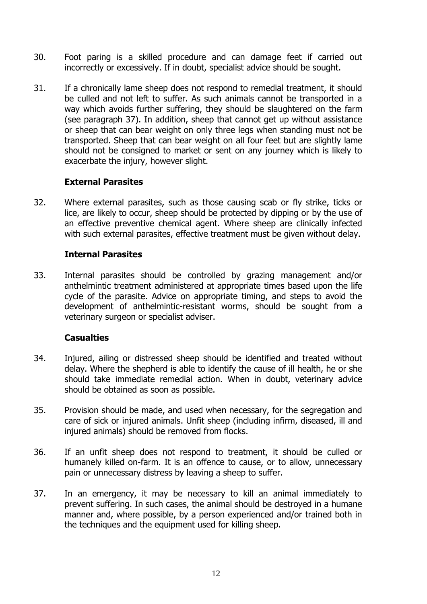- 30. Foot paring is a skilled procedure and can damage feet if carried out incorrectly or excessively. If in doubt, specialist advice should be sought.
- 31. If a chronically lame sheep does not respond to remedial treatment, it should be culled and not left to suffer. As such animals cannot be transported in a way which avoids further suffering, they should be slaughtered on the farm (see paragraph 37). In addition, sheep that cannot get up without assistance or sheep that can bear weight on only three legs when standing must not be transported. Sheep that can bear weight on all four feet but are slightly lame should not be consigned to market or sent on any journey which is likely to exacerbate the injury, however slight.

#### <span id="page-12-0"></span>**External Parasites**

32. Where external parasites, such as those causing scab or fly strike, ticks or lice, are likely to occur, sheep should be protected by dipping or by the use of an effective preventive chemical agent. Where sheep are clinically infected with such external parasites, effective treatment must be given without delay.

#### <span id="page-12-1"></span>**Internal Parasites**

33. Internal parasites should be controlled by grazing management and/or anthelmintic treatment administered at appropriate times based upon the life cycle of the parasite. Advice on appropriate timing, and steps to avoid the development of anthelmintic-resistant worms, should be sought from a veterinary surgeon or specialist adviser.

#### <span id="page-12-2"></span>**Casualties**

- 34. Injured, ailing or distressed sheep should be identified and treated without delay. Where the shepherd is able to identify the cause of ill health, he or she should take immediate remedial action. When in doubt, veterinary advice should be obtained as soon as possible.
- 35. Provision should be made, and used when necessary, for the segregation and care of sick or injured animals. Unfit sheep (including infirm, diseased, ill and injured animals) should be removed from flocks.
- 36. If an unfit sheep does not respond to treatment, it should be culled or humanely killed on-farm. It is an offence to cause, or to allow, unnecessary pain or unnecessary distress by leaving a sheep to suffer.
- 37. In an emergency, it may be necessary to kill an animal immediately to prevent suffering. In such cases, the animal should be destroyed in a humane manner and, where possible, by a person experienced and/or trained both in the techniques and the equipment used for killing sheep.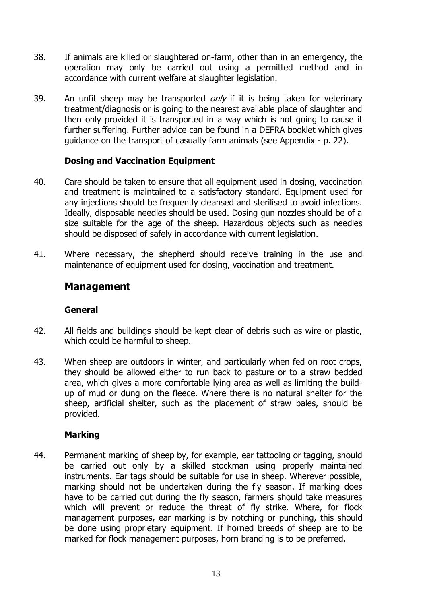- 38. If animals are killed or slaughtered on-farm, other than in an emergency, the operation may only be carried out using a permitted method and in accordance with current welfare at slaughter legislation.
- 39. An unfit sheep may be transported  $on/y$  if it is being taken for veterinary treatment/diagnosis or is going to the nearest available place of slaughter and then only provided it is transported in a way which is not going to cause it further suffering. Further advice can be found in a DEFRA booklet which gives guidance on the transport of casualty farm animals (see Appendix - p. 22).

#### <span id="page-13-0"></span>**Dosing and Vaccination Equipment**

- 40. Care should be taken to ensure that all equipment used in dosing, vaccination and treatment is maintained to a satisfactory standard. Equipment used for any injections should be frequently cleansed and sterilised to avoid infections. Ideally, disposable needles should be used. Dosing gun nozzles should be of a size suitable for the age of the sheep. Hazardous objects such as needles should be disposed of safely in accordance with current legislation.
- 41. Where necessary, the shepherd should receive training in the use and maintenance of equipment used for dosing, vaccination and treatment.

#### <span id="page-13-1"></span>**Management**

#### <span id="page-13-2"></span>**General**

- 42. All fields and buildings should be kept clear of debris such as wire or plastic, which could be harmful to sheep.
- 43. When sheep are outdoors in winter, and particularly when fed on root crops, they should be allowed either to run back to pasture or to a straw bedded area, which gives a more comfortable lying area as well as limiting the buildup of mud or dung on the fleece. Where there is no natural shelter for the sheep, artificial shelter, such as the placement of straw bales, should be provided.

#### <span id="page-13-3"></span>**Marking**

44. Permanent marking of sheep by, for example, ear tattooing or tagging, should be carried out only by a skilled stockman using properly maintained instruments. Ear tags should be suitable for use in sheep. Wherever possible, marking should not be undertaken during the fly season. If marking does have to be carried out during the fly season, farmers should take measures which will prevent or reduce the threat of fly strike. Where, for flock management purposes, ear marking is by notching or punching, this should be done using proprietary equipment. If horned breeds of sheep are to be marked for flock management purposes, horn branding is to be preferred.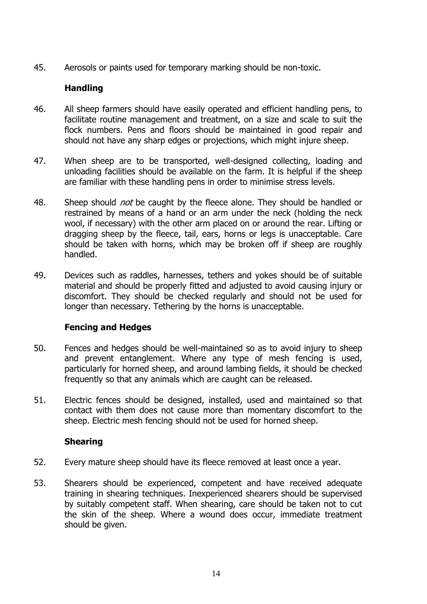45. Aerosols or paints used for temporary marking should be non-toxic.

#### <span id="page-14-0"></span>**Handling**

- 46. All sheep farmers should have easily operated and efficient handling pens, to facilitate routine management and treatment, on a size and scale to suit the flock numbers. Pens and floors should be maintained in good repair and should not have any sharp edges or projections, which might injure sheep.
- 47. When sheep are to be transported, well-designed collecting, loading and unloading facilities should be available on the farm. It is helpful if the sheep are familiar with these handling pens in order to minimise stress levels.
- 48. Sheep should *not* be caught by the fleece alone. They should be handled or restrained by means of a hand or an arm under the neck (holding the neck wool, if necessary) with the other arm placed on or around the rear. Lifting or dragging sheep by the fleece, tail, ears, horns or legs is unacceptable. Care should be taken with horns, which may be broken off if sheep are roughly handled.
- 49. Devices such as raddles, harnesses, tethers and yokes should be of suitable material and should be properly fitted and adjusted to avoid causing injury or discomfort. They should be checked regularly and should not be used for longer than necessary. Tethering by the horns is unacceptable.

#### <span id="page-14-1"></span>**Fencing and Hedges**

- 50. Fences and hedges should be well-maintained so as to avoid injury to sheep and prevent entanglement. Where any type of mesh fencing is used, particularly for horned sheep, and around lambing fields, it should be checked frequently so that any animals which are caught can be released.
- 51. Electric fences should be designed, installed, used and maintained so that contact with them does not cause more than momentary discomfort to the sheep. Electric mesh fencing should not be used for horned sheep.

#### <span id="page-14-2"></span>**Shearing**

- 52. Every mature sheep should have its fleece removed at least once a year.
- 53. Shearers should be experienced, competent and have received adequate training in shearing techniques. Inexperienced shearers should be supervised by suitably competent staff. When shearing, care should be taken not to cut the skin of the sheep. Where a wound does occur, immediate treatment should be given.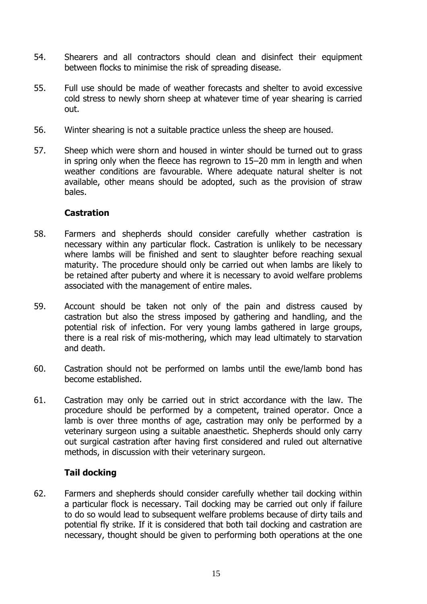- 54. Shearers and all contractors should clean and disinfect their equipment between flocks to minimise the risk of spreading disease.
- 55. Full use should be made of weather forecasts and shelter to avoid excessive cold stress to newly shorn sheep at whatever time of year shearing is carried out.
- 56. Winter shearing is not a suitable practice unless the sheep are housed.
- 57. Sheep which were shorn and housed in winter should be turned out to grass in spring only when the fleece has regrown to 15–20 mm in length and when weather conditions are favourable. Where adequate natural shelter is not available, other means should be adopted, such as the provision of straw bales.

#### <span id="page-15-0"></span>**Castration**

- 58. Farmers and shepherds should consider carefully whether castration is necessary within any particular flock. Castration is unlikely to be necessary where lambs will be finished and sent to slaughter before reaching sexual maturity. The procedure should only be carried out when lambs are likely to be retained after puberty and where it is necessary to avoid welfare problems associated with the management of entire males.
- 59. Account should be taken not only of the pain and distress caused by castration but also the stress imposed by gathering and handling, and the potential risk of infection. For very young lambs gathered in large groups, there is a real risk of mis-mothering, which may lead ultimately to starvation and death.
- 60. Castration should not be performed on lambs until the ewe/lamb bond has become established.
- 61. Castration may only be carried out in strict accordance with the law. The procedure should be performed by a competent, trained operator. Once a lamb is over three months of age, castration may only be performed by a veterinary surgeon using a suitable anaesthetic. Shepherds should only carry out surgical castration after having first considered and ruled out alternative methods, in discussion with their veterinary surgeon.

#### <span id="page-15-1"></span>**Tail docking**

62. Farmers and shepherds should consider carefully whether tail docking within a particular flock is necessary. Tail docking may be carried out only if failure to do so would lead to subsequent welfare problems because of dirty tails and potential fly strike. If it is considered that both tail docking and castration are necessary, thought should be given to performing both operations at the one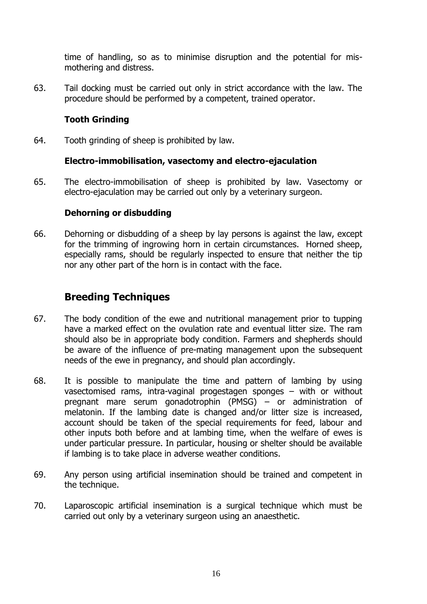time of handling, so as to minimise disruption and the potential for mismothering and distress.

63. Tail docking must be carried out only in strict accordance with the law. The procedure should be performed by a competent, trained operator.

#### <span id="page-16-0"></span>**Tooth Grinding**

64. Tooth grinding of sheep is prohibited by law.

#### <span id="page-16-1"></span>**Electro-immobilisation, vasectomy and electro-ejaculation**

65. The electro-immobilisation of sheep is prohibited by law. Vasectomy or electro-ejaculation may be carried out only by a veterinary surgeon.

#### <span id="page-16-2"></span>**Dehorning or disbudding**

66. Dehorning or disbudding of a sheep by lay persons is against the law, except for the trimming of ingrowing horn in certain circumstances. Horned sheep, especially rams, should be regularly inspected to ensure that neither the tip nor any other part of the horn is in contact with the face.

# <span id="page-16-3"></span>**Breeding Techniques**

- 67. The body condition of the ewe and nutritional management prior to tupping have a marked effect on the ovulation rate and eventual litter size. The ram should also be in appropriate body condition. Farmers and shepherds should be aware of the influence of pre-mating management upon the subsequent needs of the ewe in pregnancy, and should plan accordingly.
- 68. It is possible to manipulate the time and pattern of lambing by using vasectomised rams, intra-vaginal progestagen sponges – with or without pregnant mare serum gonadotrophin (PMSG) – or administration of melatonin. If the lambing date is changed and/or litter size is increased, account should be taken of the special requirements for feed, labour and other inputs both before and at lambing time, when the welfare of ewes is under particular pressure. In particular, housing or shelter should be available if lambing is to take place in adverse weather conditions.
- 69. Any person using artificial insemination should be trained and competent in the technique.
- 70. Laparoscopic artificial insemination is a surgical technique which must be carried out only by a veterinary surgeon using an anaesthetic.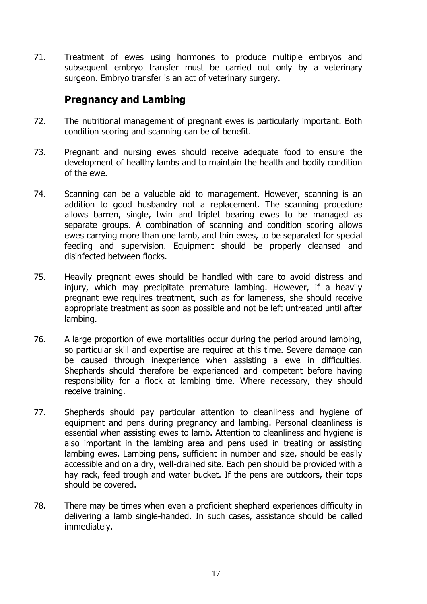71. Treatment of ewes using hormones to produce multiple embryos and subsequent embryo transfer must be carried out only by a veterinary surgeon. Embryo transfer is an act of veterinary surgery.

# <span id="page-17-0"></span>**Pregnancy and Lambing**

- 72. The nutritional management of pregnant ewes is particularly important. Both condition scoring and scanning can be of benefit.
- 73. Pregnant and nursing ewes should receive adequate food to ensure the development of healthy lambs and to maintain the health and bodily condition of the ewe.
- 74. Scanning can be a valuable aid to management. However, scanning is an addition to good husbandry not a replacement. The scanning procedure allows barren, single, twin and triplet bearing ewes to be managed as separate groups. A combination of scanning and condition scoring allows ewes carrying more than one lamb, and thin ewes, to be separated for special feeding and supervision. Equipment should be properly cleansed and disinfected between flocks.
- 75. Heavily pregnant ewes should be handled with care to avoid distress and injury, which may precipitate premature lambing. However, if a heavily pregnant ewe requires treatment, such as for lameness, she should receive appropriate treatment as soon as possible and not be left untreated until after lambing.
- 76. A large proportion of ewe mortalities occur during the period around lambing, so particular skill and expertise are required at this time. Severe damage can be caused through inexperience when assisting a ewe in difficulties. Shepherds should therefore be experienced and competent before having responsibility for a flock at lambing time. Where necessary, they should receive training.
- 77. Shepherds should pay particular attention to cleanliness and hygiene of equipment and pens during pregnancy and lambing. Personal cleanliness is essential when assisting ewes to lamb. Attention to cleanliness and hygiene is also important in the lambing area and pens used in treating or assisting lambing ewes. Lambing pens, sufficient in number and size, should be easily accessible and on a dry, well-drained site. Each pen should be provided with a hay rack, feed trough and water bucket. If the pens are outdoors, their tops should be covered.
- 78. There may be times when even a proficient shepherd experiences difficulty in delivering a lamb single-handed. In such cases, assistance should be called immediately.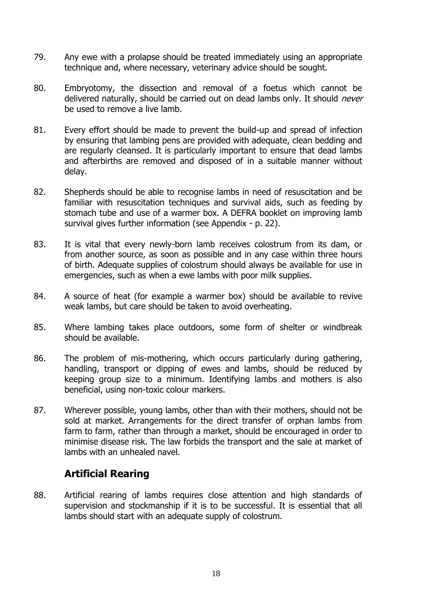- 79. Any ewe with a prolapse should be treated immediately using an appropriate technique and, where necessary, veterinary advice should be sought.
- 80. Embryotomy, the dissection and removal of a foetus which cannot be delivered naturally, should be carried out on dead lambs only. It should *never* be used to remove a live lamb.
- 81. Every effort should be made to prevent the build-up and spread of infection by ensuring that lambing pens are provided with adequate, clean bedding and are regularly cleansed. It is particularly important to ensure that dead lambs and afterbirths are removed and disposed of in a suitable manner without delay.
- 82. Shepherds should be able to recognise lambs in need of resuscitation and be familiar with resuscitation techniques and survival aids, such as feeding by stomach tube and use of a warmer box. A DEFRA booklet on improving lamb survival gives further information (see Appendix - p. 22).
- 83. It is vital that every newly-born lamb receives colostrum from its dam, or from another source, as soon as possible and in any case within three hours of birth. Adequate supplies of colostrum should always be available for use in emergencies, such as when a ewe lambs with poor milk supplies.
- 84. A source of heat (for example a warmer box) should be available to revive weak lambs, but care should be taken to avoid overheating.
- 85. Where lambing takes place outdoors, some form of shelter or windbreak should be available.
- 86. The problem of mis-mothering, which occurs particularly during gathering, handling, transport or dipping of ewes and lambs, should be reduced by keeping group size to a minimum. Identifying lambs and mothers is also beneficial, using non-toxic colour markers.
- 87. Wherever possible, young lambs, other than with their mothers, should not be sold at market. Arrangements for the direct transfer of orphan lambs from farm to farm, rather than through a market, should be encouraged in order to minimise disease risk. The law forbids the transport and the sale at market of lambs with an unhealed navel.

# <span id="page-18-0"></span>**Artificial Rearing**

88. Artificial rearing of lambs requires close attention and high standards of supervision and stockmanship if it is to be successful. It is essential that all lambs should start with an adequate supply of colostrum.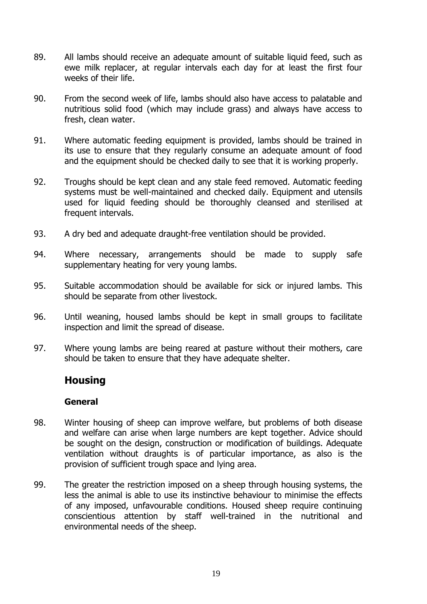- 89. All lambs should receive an adequate amount of suitable liquid feed, such as ewe milk replacer, at regular intervals each day for at least the first four weeks of their life.
- 90. From the second week of life, lambs should also have access to palatable and nutritious solid food (which may include grass) and always have access to fresh, clean water.
- 91. Where automatic feeding equipment is provided, lambs should be trained in its use to ensure that they regularly consume an adequate amount of food and the equipment should be checked daily to see that it is working properly.
- 92. Troughs should be kept clean and any stale feed removed. Automatic feeding systems must be well-maintained and checked daily. Equipment and utensils used for liquid feeding should be thoroughly cleansed and sterilised at frequent intervals.
- 93. A dry bed and adequate draught-free ventilation should be provided.
- 94. Where necessary, arrangements should be made to supply safe supplementary heating for very young lambs.
- 95. Suitable accommodation should be available for sick or injured lambs. This should be separate from other livestock.
- 96. Until weaning, housed lambs should be kept in small groups to facilitate inspection and limit the spread of disease.
- 97. Where young lambs are being reared at pasture without their mothers, care should be taken to ensure that they have adequate shelter.

#### <span id="page-19-0"></span>**Housing**

#### <span id="page-19-1"></span>**General**

- 98. Winter housing of sheep can improve welfare, but problems of both disease and welfare can arise when large numbers are kept together. Advice should be sought on the design, construction or modification of buildings. Adequate ventilation without draughts is of particular importance, as also is the provision of sufficient trough space and lying area.
- 99. The greater the restriction imposed on a sheep through housing systems, the less the animal is able to use its instinctive behaviour to minimise the effects of any imposed, unfavourable conditions. Housed sheep require continuing conscientious attention by staff well-trained in the nutritional and environmental needs of the sheep.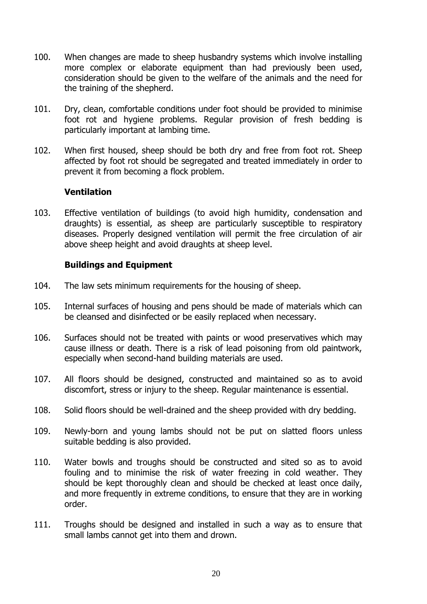- 100. When changes are made to sheep husbandry systems which involve installing more complex or elaborate equipment than had previously been used, consideration should be given to the welfare of the animals and the need for the training of the shepherd.
- 101. Dry, clean, comfortable conditions under foot should be provided to minimise foot rot and hygiene problems. Regular provision of fresh bedding is particularly important at lambing time.
- 102. When first housed, sheep should be both dry and free from foot rot. Sheep affected by foot rot should be segregated and treated immediately in order to prevent it from becoming a flock problem.

#### <span id="page-20-0"></span>**Ventilation**

103. Effective ventilation of buildings (to avoid high humidity, condensation and draughts) is essential, as sheep are particularly susceptible to respiratory diseases. Properly designed ventilation will permit the free circulation of air above sheep height and avoid draughts at sheep level.

#### <span id="page-20-1"></span>**Buildings and Equipment**

- 104. The law sets minimum requirements for the housing of sheep.
- 105. Internal surfaces of housing and pens should be made of materials which can be cleansed and disinfected or be easily replaced when necessary.
- 106. Surfaces should not be treated with paints or wood preservatives which may cause illness or death. There is a risk of lead poisoning from old paintwork, especially when second-hand building materials are used.
- 107. All floors should be designed, constructed and maintained so as to avoid discomfort, stress or injury to the sheep. Regular maintenance is essential.
- 108. Solid floors should be well-drained and the sheep provided with dry bedding.
- 109. Newly-born and young lambs should not be put on slatted floors unless suitable bedding is also provided.
- 110. Water bowls and troughs should be constructed and sited so as to avoid fouling and to minimise the risk of water freezing in cold weather. They should be kept thoroughly clean and should be checked at least once daily, and more frequently in extreme conditions, to ensure that they are in working order.
- 111. Troughs should be designed and installed in such a way as to ensure that small lambs cannot get into them and drown.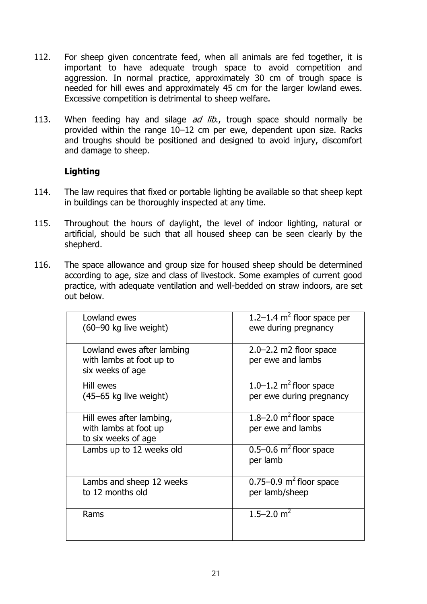- 112. For sheep given concentrate feed, when all animals are fed together, it is important to have adequate trough space to avoid competition and aggression. In normal practice, approximately 30 cm of trough space is needed for hill ewes and approximately 45 cm for the larger lowland ewes. Excessive competition is detrimental to sheep welfare.
- 113. When feeding hay and silage *ad lib.*, trough space should normally be provided within the range 10–12 cm per ewe, dependent upon size. Racks and troughs should be positioned and designed to avoid injury, discomfort and damage to sheep.

#### <span id="page-21-0"></span>**Lighting**

- 114. The law requires that fixed or portable lighting be available so that sheep kept in buildings can be thoroughly inspected at any time.
- 115. Throughout the hours of daylight, the level of indoor lighting, natural or artificial, should be such that all housed sheep can be seen clearly by the shepherd.
- 116. The space allowance and group size for housed sheep should be determined according to age, size and class of livestock. Some examples of current good practice, with adequate ventilation and well-bedded on straw indoors, are set out below.

| Lowland ewes<br>(60-90 kg live weight)                                     | 1.2–1.4 $m2$ floor space per<br>ewe during pregnancy               |
|----------------------------------------------------------------------------|--------------------------------------------------------------------|
| Lowland ewes after lambing<br>with lambs at foot up to<br>six weeks of age | $2.0 - 2.2$ m2 floor space<br>per ewe and lambs                    |
| Hill ewes<br>(45–65 kg live weight)                                        | $1.0 - 1.2$ m <sup>2</sup> floor space<br>per ewe during pregnancy |
| Hill ewes after lambing,<br>with lambs at foot up<br>to six weeks of age   | $1.8 - 2.0$ m <sup>2</sup> floor space<br>per ewe and lambs        |
| Lambs up to 12 weeks old                                                   | $0.5-0.6$ m <sup>2</sup> floor space<br>per lamb                   |
| Lambs and sheep 12 weeks<br>to 12 months old                               | $0.75-0.9$ m <sup>2</sup> floor space<br>per lamb/sheep            |
| Rams                                                                       | 1.5–2.0 $m2$                                                       |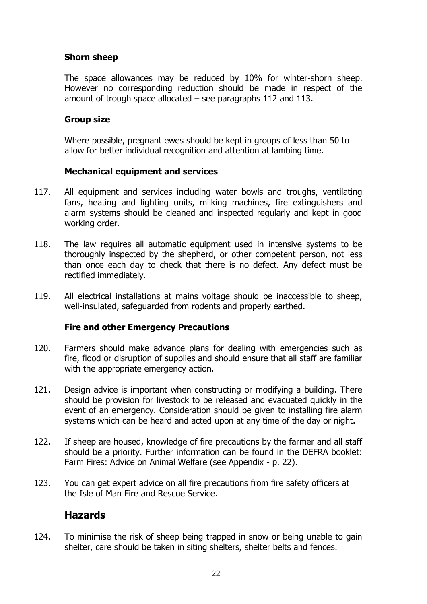#### **Shorn sheep**

The space allowances may be reduced by 10% for winter-shorn sheep. However no corresponding reduction should be made in respect of the amount of trough space allocated – see paragraphs 112 and 113.

#### **Group size**

Where possible, pregnant ewes should be kept in groups of less than 50 to allow for better individual recognition and attention at lambing time.

#### <span id="page-22-0"></span>**Mechanical equipment and services**

- 117. All equipment and services including water bowls and troughs, ventilating fans, heating and lighting units, milking machines, fire extinguishers and alarm systems should be cleaned and inspected regularly and kept in good working order.
- 118. The law requires all automatic equipment used in intensive systems to be thoroughly inspected by the shepherd, or other competent person, not less than once each day to check that there is no defect. Any defect must be rectified immediately.
- 119. All electrical installations at mains voltage should be inaccessible to sheep, well-insulated, safeguarded from rodents and properly earthed.

#### <span id="page-22-1"></span>**Fire and other Emergency Precautions**

- 120. Farmers should make advance plans for dealing with emergencies such as fire, flood or disruption of supplies and should ensure that all staff are familiar with the appropriate emergency action.
- 121. Design advice is important when constructing or modifying a building. There should be provision for livestock to be released and evacuated quickly in the event of an emergency. Consideration should be given to installing fire alarm systems which can be heard and acted upon at any time of the day or night.
- 122. If sheep are housed, knowledge of fire precautions by the farmer and all staff should be a priority. Further information can be found in the DEFRA booklet: Farm Fires: Advice on Animal Welfare (see Appendix - p. 22).
- 123. You can get expert advice on all fire precautions from fire safety officers at the Isle of Man Fire and Rescue Service.

# <span id="page-22-2"></span>**Hazards**

124. To minimise the risk of sheep being trapped in snow or being unable to gain shelter, care should be taken in siting shelters, shelter belts and fences.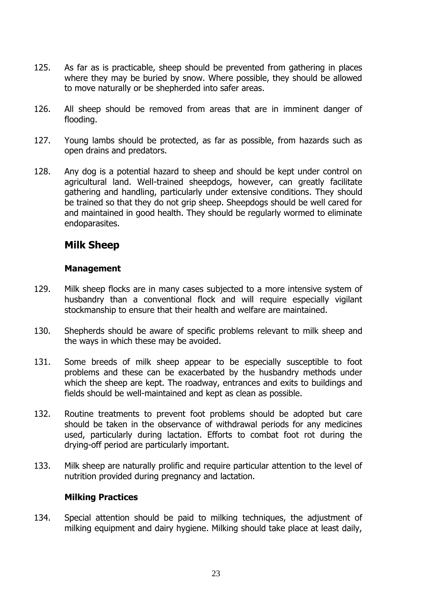- 125. As far as is practicable, sheep should be prevented from gathering in places where they may be buried by snow. Where possible, they should be allowed to move naturally or be shepherded into safer areas.
- 126. All sheep should be removed from areas that are in imminent danger of flooding.
- 127. Young lambs should be protected, as far as possible, from hazards such as open drains and predators.
- 128. Any dog is a potential hazard to sheep and should be kept under control on agricultural land. Well-trained sheepdogs, however, can greatly facilitate gathering and handling, particularly under extensive conditions. They should be trained so that they do not grip sheep. Sheepdogs should be well cared for and maintained in good health. They should be regularly wormed to eliminate endoparasites.

# <span id="page-23-0"></span>**Milk Sheep**

#### <span id="page-23-1"></span>**Management**

- 129. Milk sheep flocks are in many cases subjected to a more intensive system of husbandry than a conventional flock and will require especially vigilant stockmanship to ensure that their health and welfare are maintained.
- 130. Shepherds should be aware of specific problems relevant to milk sheep and the ways in which these may be avoided.
- 131. Some breeds of milk sheep appear to be especially susceptible to foot problems and these can be exacerbated by the husbandry methods under which the sheep are kept. The roadway, entrances and exits to buildings and fields should be well-maintained and kept as clean as possible.
- 132. Routine treatments to prevent foot problems should be adopted but care should be taken in the observance of withdrawal periods for any medicines used, particularly during lactation. Efforts to combat foot rot during the drying-off period are particularly important.
- 133. Milk sheep are naturally prolific and require particular attention to the level of nutrition provided during pregnancy and lactation.

#### <span id="page-23-2"></span>**Milking Practices**

134. Special attention should be paid to milking techniques, the adjustment of milking equipment and dairy hygiene. Milking should take place at least daily,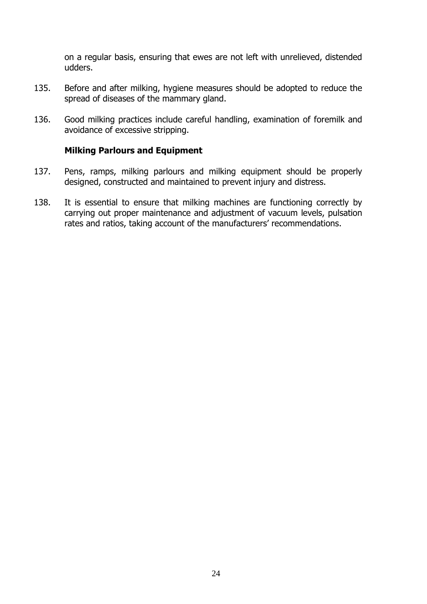on a regular basis, ensuring that ewes are not left with unrelieved, distended udders.

- 135. Before and after milking, hygiene measures should be adopted to reduce the spread of diseases of the mammary gland.
- 136. Good milking practices include careful handling, examination of foremilk and avoidance of excessive stripping.

#### <span id="page-24-0"></span>**Milking Parlours and Equipment**

- 137. Pens, ramps, milking parlours and milking equipment should be properly designed, constructed and maintained to prevent injury and distress.
- 138. It is essential to ensure that milking machines are functioning correctly by carrying out proper maintenance and adjustment of vacuum levels, pulsation rates and ratios, taking account of the manufacturers' recommendations.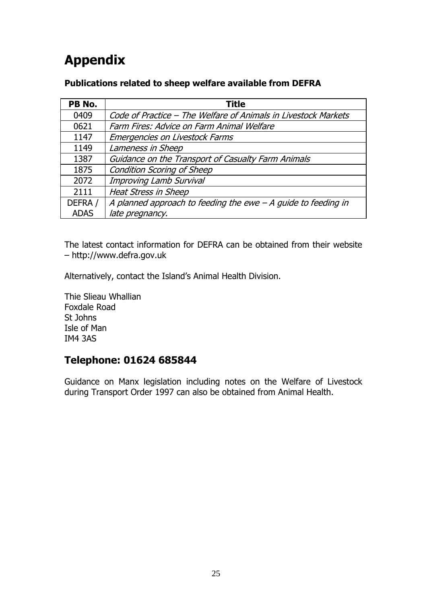# <span id="page-25-0"></span>**Appendix**

#### <span id="page-25-1"></span>**Publications related to sheep welfare available from DEFRA**

| PB No.      | <b>Title</b>                                                   |
|-------------|----------------------------------------------------------------|
| 0409        | Code of Practice - The Welfare of Animals in Livestock Markets |
| 0621        | Farm Fires: Advice on Farm Animal Welfare                      |
| 1147        | Emergencies on Livestock Farms                                 |
| 1149        | Lameness in Sheep                                              |
| 1387        | Guidance on the Transport of Casualty Farm Animals             |
| 1875        | <b>Condition Scoring of Sheep</b>                              |
| 2072        | Improving Lamb Survival                                        |
| 2111        | <b>Heat Stress in Sheep</b>                                    |
| DEFRA /     | A planned approach to feeding the ewe $-A$ guide to feeding in |
| <b>ADAS</b> | late pregnancy.                                                |

The latest contact information for DEFRA can be obtained from their website – http://www.defra.gov.uk

Alternatively, contact the Island's Animal Health Division.

Thie Slieau Whallian Foxdale Road St Johns Isle of Man IM4 3AS

# <span id="page-25-2"></span>**Telephone: 01624 685844**

Guidance on Manx legislation including notes on the Welfare of Livestock during Transport Order 1997 can also be obtained from Animal Health.